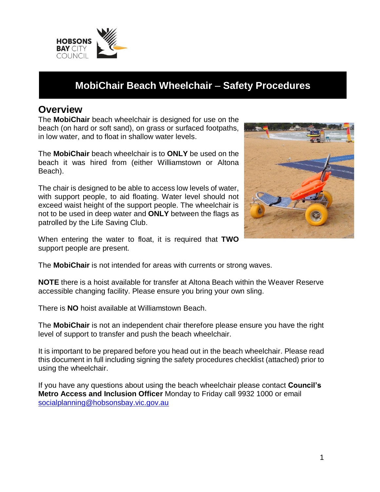

# **MobiChair Beach Wheelchair** – **Safety Procedures**

### **Overview**

The **MobiChair** beach wheelchair is designed for use on the beach (on hard or soft sand), on grass or surfaced footpaths, in low water, and to float in shallow water levels.

The **MobiChair** beach wheelchair is to **ONLY** be used on the beach it was hired from (either Williamstown or Altona Beach).

The chair is designed to be able to access low levels of water, with support people, to aid floating. Water level should not exceed waist height of the support people. The wheelchair is not to be used in deep water and **ONLY** between the flags as patrolled by the Life Saving Club.



When entering the water to float, it is required that **TWO** support people are present.

The **MobiChair** is not intended for areas with currents or strong waves.

**NOTE** there is a hoist available for transfer at Altona Beach within the Weaver Reserve accessible changing facility. Please ensure you bring your own sling.

There is **NO** hoist available at Williamstown Beach.

The **MobiChair** is not an independent chair therefore please ensure you have the right level of support to transfer and push the beach wheelchair.

It is important to be prepared before you head out in the beach wheelchair. Please read this document in full including signing the safety procedures checklist (attached) prior to using the wheelchair.

If you have any questions about using the beach wheelchair please contact **Council's Metro Access and Inclusion Officer** Monday to Friday call 9932 1000 or email socialplanning@hobsonsbay.vic.gov.au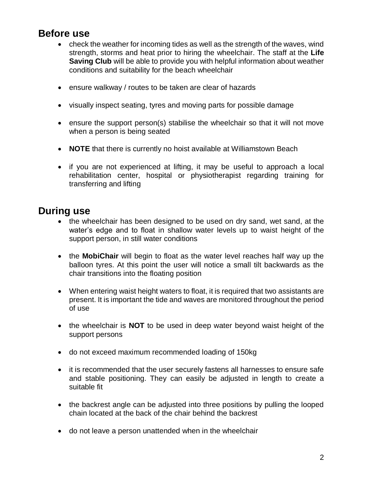## **Before use**

- check the weather for incoming tides as well as the strength of the waves, wind strength, storms and heat prior to hiring the wheelchair. The staff at the **Life Saving Club** will be able to provide you with helpful information about weather conditions and suitability for the beach wheelchair
- ensure walkway / routes to be taken are clear of hazards
- visually inspect seating, tyres and moving parts for possible damage
- ensure the support person(s) stabilise the wheelchair so that it will not move when a person is being seated
- **NOTE** that there is currently no hoist available at Williamstown Beach
- if you are not experienced at lifting, it may be useful to approach a local rehabilitation center, hospital or physiotherapist regarding training for transferring and lifting

## **During use**

- the wheelchair has been designed to be used on dry sand, wet sand, at the water's edge and to float in shallow water levels up to waist height of the support person, in still water conditions
- the **MobiChair** will begin to float as the water level reaches half way up the balloon tyres. At this point the user will notice a small tilt backwards as the chair transitions into the floating position
- When entering waist height waters to float, it is required that two assistants are present. It is important the tide and waves are monitored throughout the period of use
- the wheelchair is **NOT** to be used in deep water beyond waist height of the support persons
- do not exceed maximum recommended loading of 150kg
- it is recommended that the user securely fastens all harnesses to ensure safe and stable positioning. They can easily be adjusted in length to create a suitable fit
- the backrest angle can be adjusted into three positions by pulling the looped chain located at the back of the chair behind the backrest
- do not leave a person unattended when in the wheelchair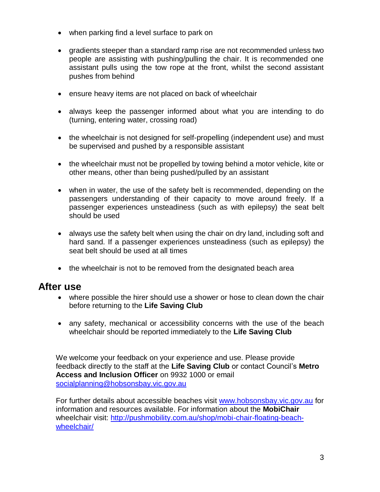- when parking find a level surface to park on
- gradients steeper than a standard ramp rise are not recommended unless two people are assisting with pushing/pulling the chair. It is recommended one assistant pulls using the tow rope at the front, whilst the second assistant pushes from behind
- ensure heavy items are not placed on back of wheelchair
- always keep the passenger informed about what you are intending to do (turning, entering water, crossing road)
- the wheelchair is not designed for self-propelling (independent use) and must be supervised and pushed by a responsible assistant
- the wheelchair must not be propelled by towing behind a motor vehicle, kite or other means, other than being pushed/pulled by an assistant
- when in water, the use of the safety belt is recommended, depending on the passengers understanding of their capacity to move around freely. If a passenger experiences unsteadiness (such as with epilepsy) the seat belt should be used
- always use the safety belt when using the chair on dry land, including soft and hard sand. If a passenger experiences unsteadiness (such as epilepsy) the seat belt should be used at all times
- the wheelchair is not to be removed from the designated beach area

#### **After use**

- where possible the hirer should use a shower or hose to clean down the chair before returning to the **Life Saving Club**
- any safety, mechanical or accessibility concerns with the use of the beach wheelchair should be reported immediately to the **Life Saving Club**

We welcome your feedback on your experience and use. Please provide feedback directly to the staff at the **Life Saving Club** or contact Council's **Metro Access and Inclusion Officer** on 9932 1000 or email socialplanning@hobsonsbay.vic.gov.au

For further details about accessible beaches visit www.hobsonsbay.vic.gov.au for information and resources available. For information about the **MobiChair** wheelchair visit: http://pushmobility.com.au/shop/mobi-chair-floating-beachwheelchair/